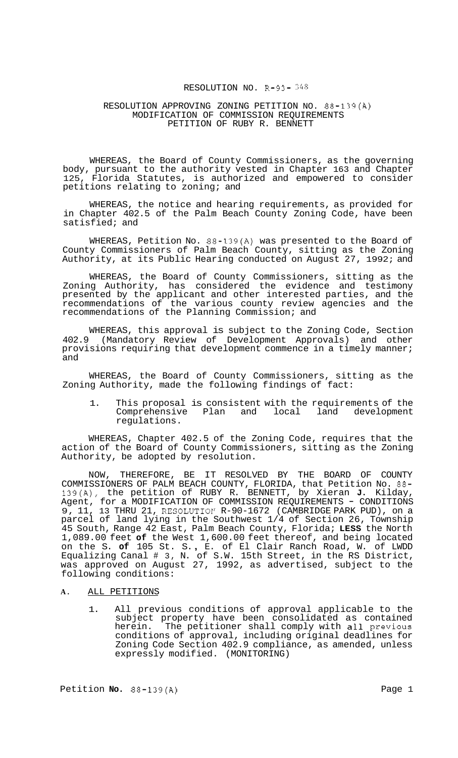## RESOLUTION NO. R-93- *348*

### RESOLUTION APPROVING ZONING PETITION NO. 88-139(A) MODIFICATION OF COMMISSION REQUIREMENTS PETITION OF RUBY R. BENNETT

WHEREAS, the Board of County Commissioners, as the governing body, pursuant to the authority vested in Chapter 163 and Chapter<br>125, Florida Statutes, is authorized and empowered to consider Florida Statutes, is authorized and empowered to consider petitions relating to zoning; and

WHEREAS, the notice and hearing requirements, as provided for in Chapter 402.5 of the Palm Beach County Zoning Code, have been satisfied; and

WHEREAS, Petition No. 88-139(A) was presented to the Board of County Commissioners of Palm Beach County, sitting as the Zoning Authority, at its Public Hearing conducted on August 27, 1992; and

WHEREAS, the Board of County Commissioners, sitting as the Zoning Authority, has considered the evidence and testimony presented by the applicant and other interested parties, and the recommendations of the various county review agencies and the recommendations of the Planning Commission; and

WHEREAS, this approval is subject to the Zoning Code, Section 402.9 (Mandatory Review of Development Approvals) and other provisions requiring that development commence in a timely manner; and

WHEREAS, the Board of County Commissioners, sitting as the Zoning Authority, made the following findings of fact:

1. This proposal is consistent with the requirements of the Comprehensive Plan and local land development regulations.

WHEREAS, Chapter 402.5 of the Zoning Code, requires that the action of the Board of County Commissioners, sitting as the Zoning Authority, be adopted by resolution.

NOW, THEREFORE, BE IT RESOLVED BY THE BOARD OF COUNTY COMMISSIONERS OF PALM BEACH COUNTY, FLORIDA, that Petition No. 88- 139(A), the petition of RUBY R. BENNETT, by Xieran **J.** Kilday, Agent, for a MODIFICATION OF COMMISSION REQUIREMENTS - CONDITIONS 9, 11, 13 THRU 21, RESOLUTIOP' R-90-1672 (CAMBRIDGE PARK PUD), on a parcel of land lying in the Southwest 1/4 of Section 26, Township 45 South, Range 42 East, Palm Beach County, Florida; **LESS** the North 1,089.00 feet **of** the West 1,600.00 feet thereof, and being located on the S. **of** 105 St. S. , E. of El Clair Ranch Road, W. of LWDD Equalizing Canal # 3, N. of S.W. 15th Street, in the RS District, was approved on August 27, 1992, as advertised, subject to the following conditions:

## **A.** ALL PETITIONS

1. All previous conditions of approval applicable to the subject property have been consolidated as contained herein. The petitioner shall comply with all previous conditions of approval, including original deadlines for Zoning Code Section 402.9 compliance, as amended, unless expressly modified. (MONITORING)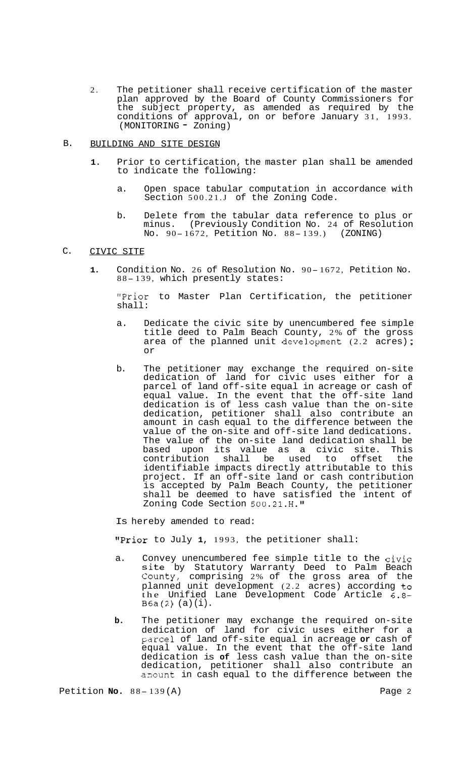- 2. The petitioner shall receive certification of the master plan approved by the Board of County Commissioners for the subject property, as amended as required by the conditions of approval, on or before January 31, 1993. (MONITORING - Zoning)
- B. BUILDING AND SITE DESIGN
	- **1.** Prior to certification, the master plan shall be amended to indicate the following:
		- a. Open space tabular computation in accordance with Section 500.21.J of the Zoning Code.
		- b. Delete from the tabular data reference to plus or<br>minus. (Previously Condition No. 24 of Resolution (Previously Condition No. 24 of Resolution No. 90-1672, Petition No. 88-139.) (ZONING)

#### C. CIVIC SITE

**1.** Condition No. 26 of Resolution No. 90- 1672, Petition No. 88-139, which presently states:

"Prior to Master Plan Certification, the petitioner shall:

- a. Dedicate the civic site by unencumbered fee simple title deed to Palm Beach County, 2% of the gross<br>area of the planned unit development (2.2 acres); or
- b. The petitioner may exchange the required on-site dedication of land for civic uses either for a parcel of land off-site equal in acreage or cash of equal value. In the event that the off-site land dedication is of less cash value than the on-site dedication, petitioner shall also contribute an amount in cash equal to the difference between the value of the on-site and off-site land dedications. The value of the on-site land dedication shall be based upon its value as a civic site. This contribution shall be used to offset the identifiable impacts directly attributable to this project. If an off-site land or cash contribution is accepted by Palm Beach County, the petitioner shall be deemed to have satisfied the intent of Zoning Code Section 500.21.H."

Is hereby amended to read:

"Prior to July 1, 1993, the petitioner shall:

- a. Convey unencumbered fee simple title to the civic site by Statutory Warranty Deed to Palm Beach County, comprising 2% of the gross area of the planned unit development (2.2 acres) according **to**  the Unified Lane Development Code Article 6.8-  $B6a(2)$  (a)  $(i)$ .
- **b.** The petitioner may exchange the required on-site dedication of land for civic uses either for a Farce1 of land off-site equal in acreage **or** cash of equal value. In the event that the off-site land dedication is **of** less cash value than the on-site dedication, petitioner shall also contribute an amount in cash equal to the difference between the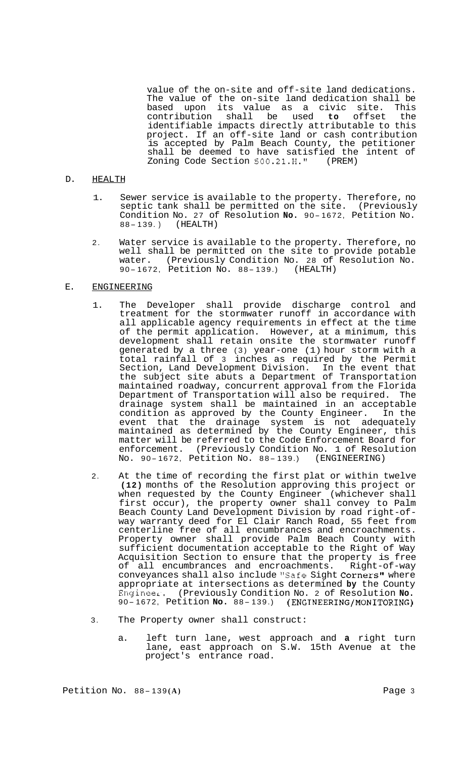value of the on-site and off-site land dedications. The value of the on-site land dedication shall be based upon its value as a civic site. This<br>contribution shall be used to offset the contribution shall be used to offset identifiable impacts directly attributable to this project. If an off-site land or cash contribution is accepted by Palm Beach County, the petitioner shall be deemed to have satisfied the intent of Zoning Code Section  $500.21.H."$  (PREM) Zoning Code Section 500.21.H."

### D. HEALTH

- 1. Sewer service is available to the property. Therefore, no septic tank shall be permitted on the site. (Previously Condition No. 27 of Resolution **No.** 90- 1672, Petition No. CONGILION NO. 27 OL<br>88-139.) (HEALTH)
- 2. Water service is available to the property. Therefore, no well shall be permitted on the site to provide potable water. (Previously Condition No. 28 of Resolution No. 90- 1672, Petition No. 88- 139.) (HEALTH)

## E. ENGINEERING

- 1. The Developer shall provide discharge control and treatment for the stormwater runoff in accordance with all applicable agency requirements in effect at the time of the permit application. However, at a minimum, this development shall retain onsite the stormwater runoff generated by a three (3) year-one (1) hour storm with a total rainfall of 3 inches as required by the Permit Section, Land Development Division. In the event that the subject site abuts a Department of Transportation maintained roadway, concurrent approval from the Florida Department of Transportation will also be required. The drainage system shall be maintained in an acceptable condition as approved by the County Engineer. In the event that the drainage system is not adequately maintained as determined by the County Engineer, this matter will be referred to the Code Enforcement Board for enforcement. (Previously Condition No. 1 of Resolution No. 90- 1672, Petition No. 88- 139.) (ENGINEERING)
- 2. At the time of recording the first plat or within twelve **(12)** months of the Resolution approving this project or when requested by the County Engineer (whichever shall first occur), the property owner shall convey to Palm<br>Beach County Land Development Division by road right-ofway warranty deed for El Clair Ranch Road, 55 feet from centerline free of all encumbrances and encroachments. Property owner shall provide Palm Beach County with sufficient documentation acceptable to the Right of Way Acquisition Section to ensure that the property is free of all encumbrances and encroachments. Right-of-way conveyances shall also include "Safe Sight Corners" where appropriate at intersections as determined **by** the County EngineeL. (Previously Condition No. 2 of Resolution **No.**  90- 1672, Petition **No.** 88- 139.) **(ENGINEERING/MONITORING)**
- 3. The Property owner shall construct:
	- a. left turn lane, west approach and **a** right turn lane, east approach on S.W. 15th Avenue at the project's entrance road.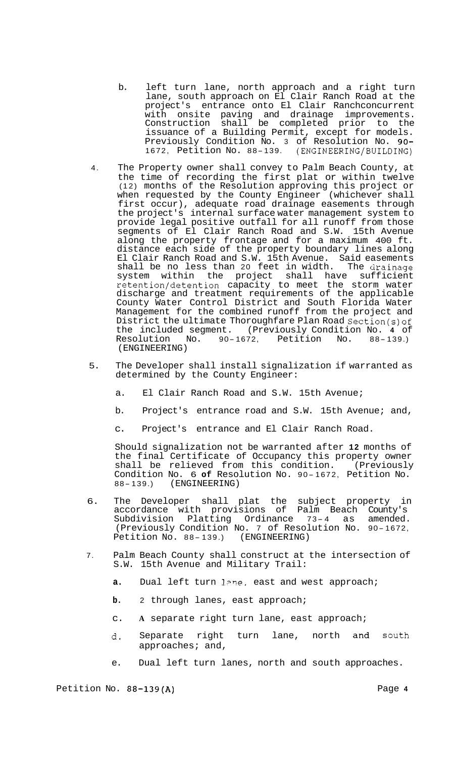- b. left turn lane, north approach and a right turn lane, south approach on El Clair Ranch Road at the project's entrance onto El Clair Ranchconcurrent with onsite paving and drainage improvements. Construction shall be completed prior to the issuance of a Building Permit, except for models. Previously Condition No. 3 of Resolution No. 90- 1672, Petition No. 88- 139. (ENGINEERING/BUILDING)
- 4. The Property owner shall convey to Palm Beach County, at the time of recording the first plat or within twelve (12) months of the Resolution approving this project or when requested by the County Engineer (whichever shall first occur), adequate road drainage easements through the project's internal surface water management system to provide legal positive outfall for all runoff from those segments of El Clair Ranch Road and S.W. 15th Avenue along the property frontage and for a maximum 400 ft. distance each side of the property boundary lines along El Clair Ranch Road and S.W. 15th Avenue. Said easements shall be no less than 20 feet in width. The drainage system within the project shall have sufficient retention/detention capacity to meet the storm water discharge and treatment requirements of the applicable County Water Control District and South Florida Water Management for the combined runoff from the project and District the ultimate Thoroughfare Plan Road Section(s)of the included segment. (Previously Condition No. **4** of No. 90-1672, Petition No. (ENGINEERING)
- 5. The Developer shall install signalization if warranted as determined by the County Engineer:
	- a. El Clair Ranch Road and S.W. 15th Avenue;
	- b. Project's entrance road and S.W. 15th Avenue; and,
	- c. Project's entrance and El Clair Ranch Road.

Should signalization not be warranted after **12** months of the final Certificate of Occupancy this property owner shall be relieved from this condition. (Previously Condition No. 6 **of** Resolution No. 90- 1672, Petition No. (ENGINEERING)

- 6. The Developer shall plat the subject property in accordance with provisions of Palm Beach County's<br>Subdivision Platting Ordinance 73-4 as amended. (Previously Condition No. 7 of Resolution No. 90- 1672, (Previously Condition No. 7 of Resolt)<br>Petition No. 88-139.) (ENGINEERING)
- 7. Palm Beach County shall construct at the intersection of S.W. 15th Avenue and Military Trail:
	- **a.** Dual left turn lane, east and west approach;
	- **b.** 2 through lanes, east approach;
	- c. **A** separate right turn lane, east approach;
	- d. Separate right turn lane, north and south approaches; and,
	- e. Dual left turn lanes, north and south approaches.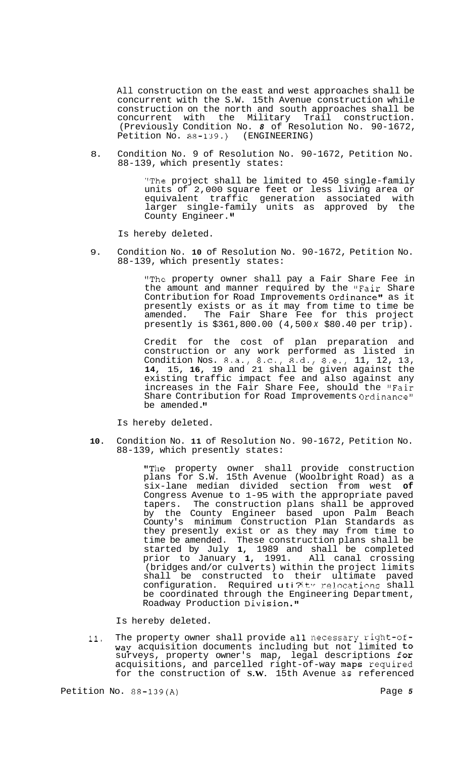All construction on the east and west approaches shall be concurrent with the S.W. 15th Avenue construction while construction on the north and south approaches shall be concurrent with the Military Trail construction. (Previously Condition No. *8* of Resolution No. 90-1672, Petition No. 88-139.) (ENGINEERING)

8. Condition No. 9 of Resolution No. 90-1672, Petition No. 88-139, which presently states:

> "The project shall be limited to 450 single-family units of 2,000 square feet or less living area or equivalent traffic generation associated with larger single-family units as approved by the County Engineer.

Is hereby deleted.

9. Condition No. **10** of Resolution No. 90-1672, Petition No. 88-139, which presently states:

> "The property owner shall pay a Fair Share Fee in the amount and manner required by the "Fair Share Contribution for Road Improvements Ordinance" as it presently exists or as it may from time to time be amended. The Fair Share Fee for this project presently is \$361,800.00 (4,500 *x* \$80.40 per trip).

> Credit for the cost of plan preparation and construction or any work performed as listed in Condition Nos. 8.a., 8.c., 8.d., 8.e., 11, 12, 13, **14,** 15, **16,** 19 and 21 shall be given against the existing traffic impact fee and also against any increases in the Fair Share Fee, should the "Fair Share Contribution for Road Improvements Ordinance" be amended.

Is hereby deleted.

**10.** Condition No. **11** of Resolution No. 90-1672, Petition No. 88-139, which presently states:

> "The property owner shall provide construction plans for S.W. 15th Avenue (Woolbright Road) as a six-lane median divided section from west **of**  Congress Avenue to 1-95 with the appropriate paved<br>tapers. The construction plans shall be approved The construction plans shall be approved by the County Engineer based upon Palm Beach Dy the County Institute Massa appear a semithey presently exist or as they may from time to time be amended. These construction plans shall be started by July **1,** 1989 and shall be completed prior to January **1,** 1991. All canal crossing (bridges and/or culverts) within the project limits shall be constructed to their ultimate paved configuration. Required uti?ty relocations shall be coordinated through the Engineering Department, Roadway Production Division."

Is hereby deleted.

11. The property owner shall provide all necessary right-ofway acquisition documents including but not limited to surveys, property owner's map, legal descriptions for acquisitions, and parcelled right-of-way maps required for the construction of **S.W.** 15th Avenue as referenced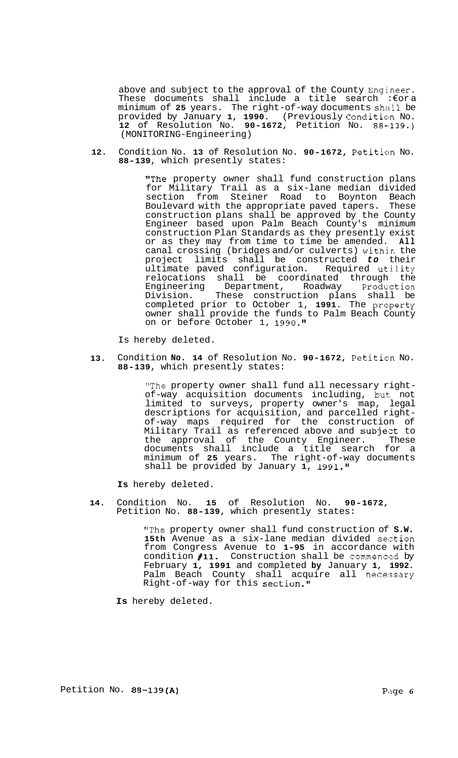above and subject to the approval of the County Engineer. These documents shall include a title search :€or a minimum of **25** years. The right-of-way documents shall be provided by January **1, 1990.** (Previously Condition No. 12 of Resolution No. 90-1672, Petition No. 88-139.) (MONITORING-Engineering)

**12.**  Condition No. 13 of Resolution No. 90-1672, Petition No. **88-139,** which presently states:

> "The property owner shall fund construction plans for Military Trail as a six-lane median divided section from Steiner Road to Boynton Beach Boulevard with the appropriate paved tapers. These construction plans shall be approved by the County Engineer based upon Palm Beach County's minimum construction Plan Standards as they presently exist or as they may from time to time be amended. **All**  canal crossing (bridges and/or culverts) withjn the project limits shall be constructed *to* their ultimate paved configuration. Required utility relocations shall be coordinated through the Engineering Department, Roadway Production Division. These construction plans shall be completed prior to October 1, 1991. The property owner shall provide the funds to Palm Beach County on or before October 1, **1990.l1**

Is hereby deleted.

**13.**  Condition No. 14 of Resolution No. 90-1672, Petition No. **88-139,** which presently states:

> "The property owner shall fund all necessary right- of-way acquisition documents including, but:: not limited to surveys, property owner's map, legal descriptions for acquisition, and parcelled right-<br>of-way maps required for the construction of Military Trail as referenced above and subject to the approval of the County Engineer. These documents shall include a title search for a minimum of **25** years. The right-of-way documents shall be provided by January 1, 1991."

**Is** hereby deleted.

**14.**  Condition No. **15** of Resolution No. **90-1672,**  Petition No. **88-139,** which presently states:

> "The property owner shall fund construction of **S.W.**  15th Avenue as a six-lane median divided section from Congress Avenue to **1-95** in accordance with condition #11. Construction shall be commenced by February **1, 1991** and completed **by** January **1, 1992.**  Palm Beach County shall acquire all necessary Right-of-way for this section."

**Is** hereby deleted.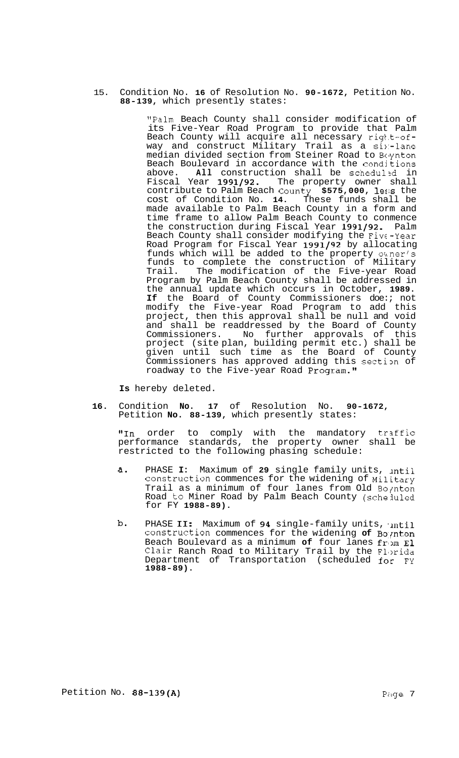15. Condition No. **16** of Resolution No. **90-1672,** Petition No. **88-139,** which presently states:

> "Palm Beach County shall consider modification of its Five-Year Road Program to provide that Palm Beach County will acquire all necessary right-ofway and construct Military Trail as a six-lane median divided section from Steiner Road to Boynton Beach Boulevard in accordance with the condjtions above. **All** construction shall be scheduled in<br>Fiscal Year 1991/92. The property owner shall Fiscal Year **1991/92.** The property owner shall contribute to Palm Beach Coun'ty **\$575,000,** 1e:;s the cost of Condition No. **14.** These funds shall be made available to Palm Beach County in a form and time frame to allow Palm Beach County to conmence the construction during Fiscal Year **1991/92.** Palm Beach County shall consider modifying the Five-Year Road Program for Fiscal Year **1991/92** by allocating funds which will be added to the property owner's funds to complete the construction of Military Trail. The modification of the Five-year Road Program by Palm Beach County shall be addressed in the annual update which occurs in October, **1989. If** the Board of County Commissioners doe:; not modify the Five-year Road Program to add this project, then this approval shall be null and void and shall be readdressed by the Board of County Commissioners. No further approvals of this project (site plan, building permit etc.) shall be given until such time as the Board of County Commissioners has approved adding this section of roadway to the Five-year Road Program."

**Is** hereby deleted.

**16.** Condition **No. 17** of Resolution No. **90-1672,**  Petition **No. 88-139,** which presently states:

"In order to comply with the mandatory traffic performance standards, the property owner shall be restricted to the following phasing schedule:

- a. PHASE **I:** Maximum of **29** single family units, lntil construction commences for the widening of Military Trail as a minimum of four lanes from Old Boynton Road to Miner Road by Palm Beach County (scheiuled for FY **1988-89).**
- b. PHASE II: Maximum of 94 single-family units, intil construction commences for the widening of Boynton Beach Boulevard as a minimum of four lanes from El Clair Ranch Road to Military Trail by the Florida Department of Transportation (scheduled for FY **1988-89).**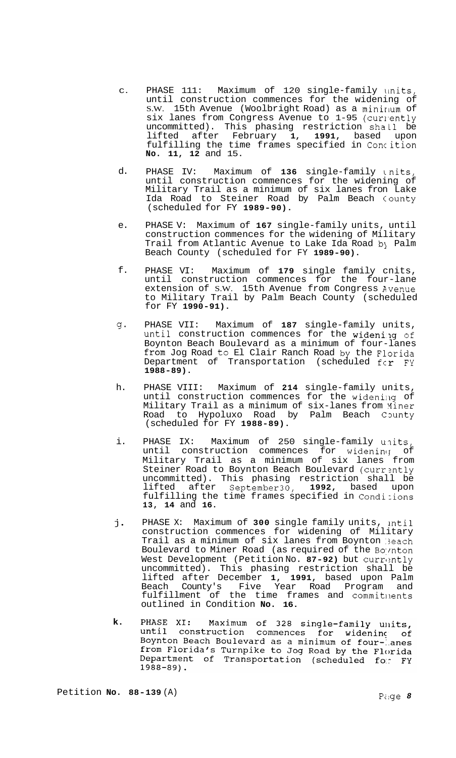- C. PHASE 111: Maximum of 120 single-family linits, until construction commences for the widening of S.W. 15th Avenue (Woolbright Road) as a mininum of six lanes from Congress Avenue to 1-95 (currently uncommitted). This phasing restriction shaL1 be lifted after February **1, 1991,** based upon fulfilling the time frames specified in Conc ition **No. 11, 12** and 15.
- d. PHASE IV: Maximum of **136** single-family Lnits, until construction commences for the widening of Military Trail as a minimum of six lanes fron Lake Ida Road to Steiner Road by Palm Beach County (scheduled for FY **1989-90).**
- e. PHASE V: Maximum of **167** single-family units, until construction commences for the widening of Military Trail from Atlantic Avenue to Lake Ida Road by Palm Beach County (scheduled for FY **1989-90).**
- f. PHASE VI: Maximum of **179** single family cnits, until construction commences for the four-lane extension of S.W. 15th Avenue from Congress Avenue to Military Trail by Palm Beach County (scheduled for FY **1990-91).**
- 4- PHASE VII: Maximum of **187** single-family units, until construction commences for the widening of Boynton Beach Boulevard as a minimum of four-lanes from Jog Road to El Clair Ranch Road by the Florida Department of Transportation (scheduled  $f \in r$  FY **1988-89).**
- h. PHASE VIII: Maximum of **214** single-family units, until construction commences for the widening of Military Trail as a minimum of six-lanes from Yiner Road to Hypoluxo Road by Palm Beach County (scheduled for FY **1988-89).**
- i. PHASE IX: Maximum of 250 single-family units, until construction commences for widening of Military Trail as a minimum of six lanes from Steiner Road to Boynton Beach Boulevard (currently uncommitted). This phasing restriction shall be lifted after September30, **1992,** based upon fulfilling the time frames specified in Condi-ions **13, 14** and **16.**
- **j.**  PHASE X: Maximum of 300 single family units, intil construction commences for widening of Military Trail as a minimum of six lanes from Boynton :3each Boulevard to Miner Road (as required of the Boynton West Development (Petition No. 87-92) but currently uncommitted). This phasing restriction shall be lifted after December **1, 1991,** based upon Palm County's Five Year Road Program and fulfillment of the time frames and commitnents outlined in Condition **No. 16.**
- PHASE XI: **k.**  Maximum of 328 single-family units, until construction commences for widening of<br>Boynton Beach Boulevard as a minimum of four-lanes boynton beach boulevard as a minimum or rour- anes<br>from Florida's Turnpike to Jog Road by the Florida Department of Transportation (scheduled for FY  $1988 - 89$ ).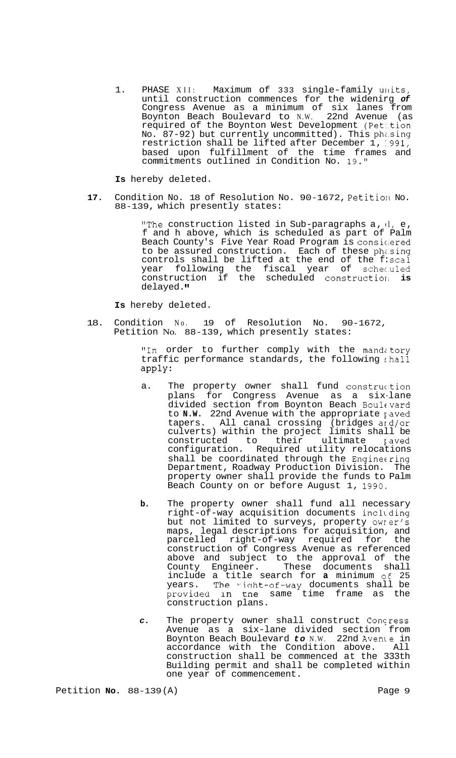1. PHASE XII: Maximum of 333 single-family units, until construction commences for the widenirg *of*  Congress Avenue as a minimum of six lanes from Boynton Beach Boulevard to N.W. 22nd Avenue (as required of the Boynton West Development (Pet:.tion No. 87-92) but currently uncommitted). This phi.sing restriction shall be lifted after December 1, :991, based upon fulfillment of the time frames and commitments outlined in Condition No. 19."

**Is** hereby deleted.

17. Condition No. 18 of Resolution No. 90-1672, Petition No. 88-139, which presently states:

> "The construction listed in Sub-paragraphs a, **li,** e, f and h above, which is scheduled as part of Palm Beach County's Five Year Road Program is considered to be assured construction. Each of these phasing controls shall be lifted at the end of the f: scal year following the fiscal year of schec.uled construction if the scheduled constructiorl **is**  delayed.

**Is** hereby deleted.

18. Condition No. 19 of Resolution No. 90-1672, Petition No. 88-139, which presently states:

> "In order to further comply with the mandatory traffic performance standards, the following :hall apply:

- a. The property owner shall fund construction plans for Congress Avenue as a six-lane divided section from Boynton Beach Boulcvard to N.W. 22nd Avenue with the appropriate paved tapers. All canal crossing (bridges ard/or culverts) within the project limits shall be constructed to their ultimate paved configuration. Required utility relocations shall be coordinated through the Engine ring Department, Roadway Production Division. The property owner shall provide the funds to Palm Beach County on or before August 1, 1990.
- **b.** The property owner shall fund all necessary right-of-way acquisition documents incllding but not limited to surveys, property owrer's maps, legal descriptions for acquisition, and parcelled right-of-way required for the construction of Congress Avenue as referenced above and subject to the approval of the County Engineer. These documents shall include a title search for **a** minimum *o€* 25 years. The right-of-way documents shall be provided in tne same time frame as the construction plans.
- *c.* The property owner shall construct Concress Avenue as a six-lane divided section from Boynton Beach Boulevard *to* N.W. 22nd Avenle in accordance with the Condition above. All construction shall be commenced at the 333th Building permit and shall be completed within one year of commencement.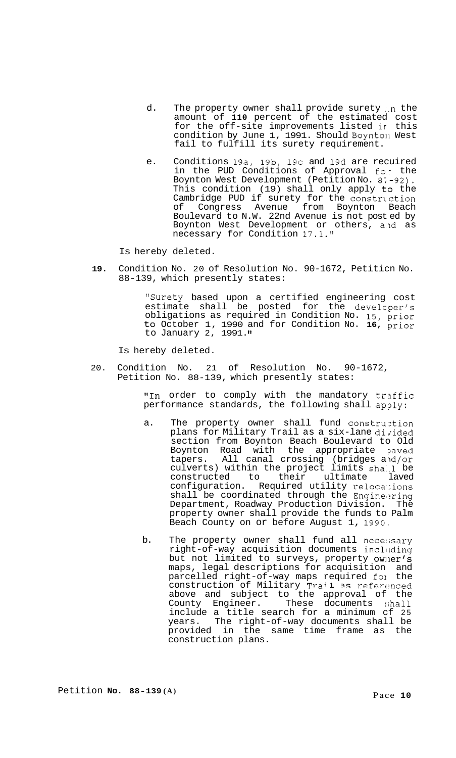- d. The property owner shall provide surety in the amount of **110** percent of the estimated cost for the off-site improvements listed ir this condition by June 1, 1991. Should Boyntoil West fail to fulfill its surety requirement.
- e. Conditions 19a, 19b, 19c and 19d are recuired in the PUD Conditions of Approval for the Boynton West Development (Petition No. 8;-92). This condition  $(19)$  shall only apply to the Cambridge PUD if surety for the construction of Congress Avenue from Boynton Beach Boulevard to N.W. 22nd Avenue is not post ed by Boynton West Development or others, and as necessary for Condition 17.1."

Is hereby deleted.

**19.** Condition No. 20 of Resolution No. 90-1672, Petiticn No. 88-139, which presently states:

> "Surety based upon a certified engineering cost estimate shall be posted for the developer's obligations as required in Condition No. 15, prior to October 1, 1990 and for Condition No. **16,** prior to January 2, 1991. **I1**

Is hereby deleted.

20. Condition No. 21 of Resolution No. 90-1672, Petition No. 88-139, which presently states:

> "In order to comply with the mandatory traffic performance standards, the following shall apply:

- a. The property owner shall fund construztion plans for Military Trail as a six-lane divided section from Boynton Beach Boulevard to Old Boynton Road with the appropriate paved tapers. All canal crossing (bridges and/or culverts) within the project limits sha..l be constructed to their ultimate laved configuration. Required utility relocations shall be coordinated through the Engineering Department, Roadway Production Division. The property owner shall provide the funds to Palm Beach County on or before August 1, 1990,
- b. The property owner shall fund all nece:;sary right-of-way acquisition documents inclllding but not limited to surveys, property owner's maps, legal descriptions for acquisition and parcelled right-of-way maps required fol the construction of Military Trai1 as referenced above and subject to the approval of the County Engineer. These documents shall include a title search for a minimum cf 25 years. The right-of-way documents shall be provided in the same time frame as the construction plans.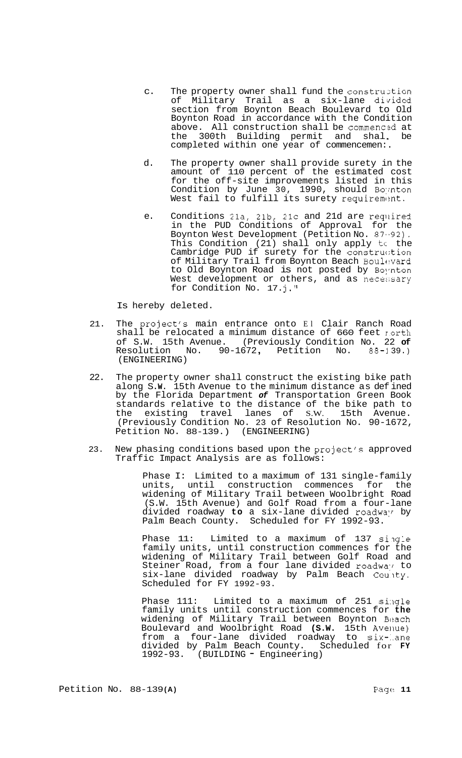- c. The property owner shall fund the construction<br>of Military Trail as a six-lane divided Military Trail as a six-lane divided section from Boynton Beach Boulevard to Old Boynton Road in accordance with the Condition above. All construction shall be commenced at the 300th Building permit and shal. be completed within one year of commencemen:.
- d. The property owner shall provide surety in the amount of 110 percent of the estimated cost for the off-site improvements listed in this Condition by June 30, 1990, should Boynton West fail to fulfill its surety requirement.
- e. Conditions 21a, 21b, 21c and 21d are reqilired in the PUD Conditions of Approval for the Boynton West Development (Petition No. 87.-92). This Condition (21) shall only apply tc the Cambridge PUD if surety for the construction of Military Trail from Boynton Beach Boul $ev$ ard to Old Boynton Road is not posted by Boynton West development or others, and as necessary for Condition No. 17.j."

Is hereby deleted.

- 21. The project's main entrance onto El Clair Ranch Road shall be relocated a minimum distance of 660 feet rorth of S.W. 15th Avenue. (Previously Condition No. 22 **of**  Resolution No. 90-1672, Petition No. 88-139.) (ENGINEERING)
- 22. The property owner shall construct the existing bike path along S. **W.** 15th Avenue to the minimum distance as def ined by the Florida Department *of* Transportation Green Book standards relative to the distance of the bike path to the existing travel lanes of S.W. 15th Avenue. (Previously Condition No. 23 of Resolution No. 90-1672, Petition No. 88-139.) (ENGINEERING)
- 23. New phasing conditions based upon the project's approved Traffic Impact Analysis are as follows:

Phase I: Limited to a maximum of 131 single-family units, until construction commences for the widening of Military Trail between Woolbright Road (S.W. 15th Avenue) and Golf Road from a four-lane divided roadway to a six-lane divided roadway by Palm Beach County. Scheduled for FY 1992-93.

Phase 11: Limited to a maximum of 137 single family units, until construction commences for the widening of Military Trail between Golf Road and Steiner Road, from a four lane divided roadway to six-lane divided roadway by Palm Beach Coulty. Scheduled for FY 1992-93.

Phase 111: Limited to a maximum of 251 single family units until construction commences for **the**  widening of Military Trail between Boynton Beach Boulevard and Woolbright Road (S.W. 15th Avenue) from a four-lane divided roadway to six-dane divided by Palm Beach County. Scheduled for **FY**  1992-93. (BUILDING - Engineering)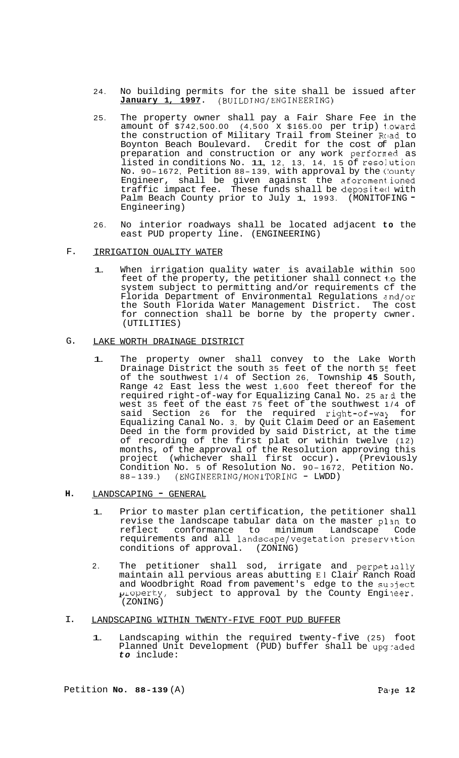- 24. No building permits for the site shall be issued after **January 1, 1997.** (BUILDING/ENGINEERING)
- 25. The property owner shall pay a Fair Share Fee in the amount of \$742,500.00 (4,500 x \$165.00 per trip) 1.oward the construction of Military Trail from Steiner Road to Boynton Beach Boulevard. Credit for the cost of plan preparation and construction or any work performed as preparation and construction of any work performed as<br>listed in conditions No. 11, 12, 13, 14, 15 of resolution No. 90- 1672, Petition 88- 139, with approval by the (lounty Engineer, shall be given against the aforementioned traffic impact fee. These funds shall be depositecl with Palm Beach County prior to July 1, 1993. (MONITOFING -Engineering)
- 26. No interior roadways shall be located adjacent **to** the east PUD property line. (ENGINEERING)
- F. IRRIGATION OUALITY WATER
	- 1. When irrigation quality water is available within <sup>500</sup> feet of the property, the petitioner shall connect to the system subject to permitting and/or requirements cf the Florida Department of Environmental Regulations znd/or the South Florida Water Management District. The cost for connection shall be borne by the property cwner. (UTILITIES)

#### G. LAKE WORTH DRAINAGE DISTRICT

- 1. The property owner shall convey to the Lake Worth Drainage District the south 35 feet of the north 5E feet of the southwest 1/4 of Section 26, Township **45** South, Range 42 East less the west 1,600 feet thereof for the required right-of-way for Equalizing Canal No. 25 ard the west 35 feet of the east 75 feet of the southwest 1/4 of said Section 26 for the required right-of-way for Equalizing Canal No. 3, by Quit Claim Deed or an Easement Deed in the form provided by said District, at the time of recording of the first plat or within twelve (12) months, of the approval of the Resolution approving this months, of the approval of the resorution approving this<br>project (whichever shall first occur). (Previously Condition No. 5 of Resolution No. 90- 1672, Petition No. 88- 139.) (ENGINEERING/MONITORING - LWDD)
- **H.**  LANDSCAPING - GENERAL
	- 1. Prior to master plan certification, the petitioner shall revise the landscape tabular data on the master plan to reflect conformance to minimum Landscape Code requirements and all landscape/vegetation preservation conditions of approval. (ZONING)
	- 2. The petitioner shall sod, irrigate and perpetually maintain all pervious areas abutting El Clair Ranch Road and Woodbright Road from pavement's edge to the subject  $\mu$  operty, subject to approval by the County Engineer. (ZONING)
- I. LANDSCAPING WITHIN TWENTY-FIVE FOOT PUD BUFFER
	- 1. Landscaping within the required twenty-f ive (25) foot Planned Unit Development (PUD) buffer shall be upgraded *to* include: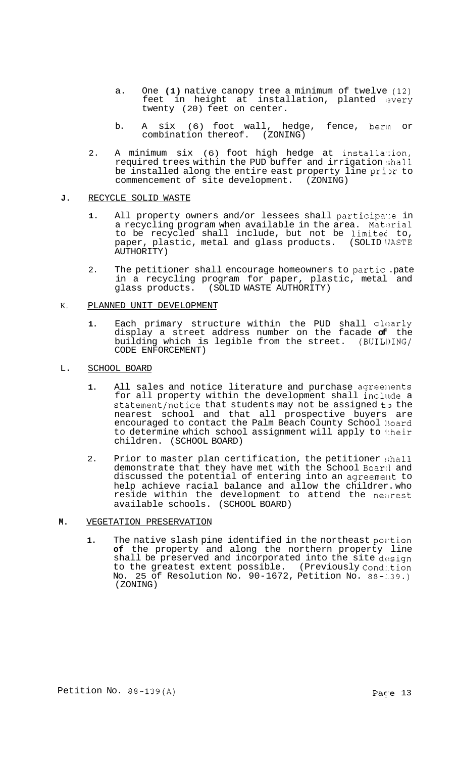- a. One **(1)** native canopy tree a minimum of twelve (12) feet in height at installation, planted every twenty (20) feet on center.
- b. A six (6) foot wall, hedge, fence, berln or combination thereof. (ZONING)
- 2. A minimum six (6) foot high hedge at installa':ion, required trees within the PUD buffer and irrigation shall be installed along the entire east property line prior to commencement of site development. (ZONING)

### **J.** RECYCLE SOLID WASTE

- 1. All property owners and/or lessees shall participate in a recycling program when available in the area. Material to be recycled shall include, but not be limitec to, paper, plastic, metal and glass products. (SOLID WASTE AUTHORITY)
- 2. The petitioner shall encourage homeowners to partic .pate in a recycling program for paper, plastic, metal and glass products. (SOLID WASTE AUTHORITY)

## K. PLANNED UNIT DEVELOPMENT

- 1. Each primary structure within the PUD shall clearly display a street address number on the facade **of** the building which is legible from the street. (BUILI)ING/ CODE ENFORCEMENT)
- L. SCHOOL BOARD
	- 1. All sales and notice literature and purchase agreements for all property within the development shall include a statement/notice that students may not be assigned to the nearest school and that all prospective buyers are encouraged to contact the Palm Beach County School lioard to determine which school assignment will apply to their children. (SCHOOL BOARD)
	- 2. Prior to master plan certification, the petitioner shall demonstrate that they have met with the School Board and discussed the potential of entering into an agreement to help achieve racial balance and allow the childrer. who reside within the development to attend the nearest available schools. (SCHOOL BOARD)

# **M.** VEGETATION PRESERVATION

1. The native slash pine identified in the northeast portion **of** the property and along the northern property line shall be preserved and incorporated into the site design to the greatest extent possible. (Previously Cond:.tion No. 25 of Resolution No. 90-1672, Petition No. 88-:.39.) (ZONING)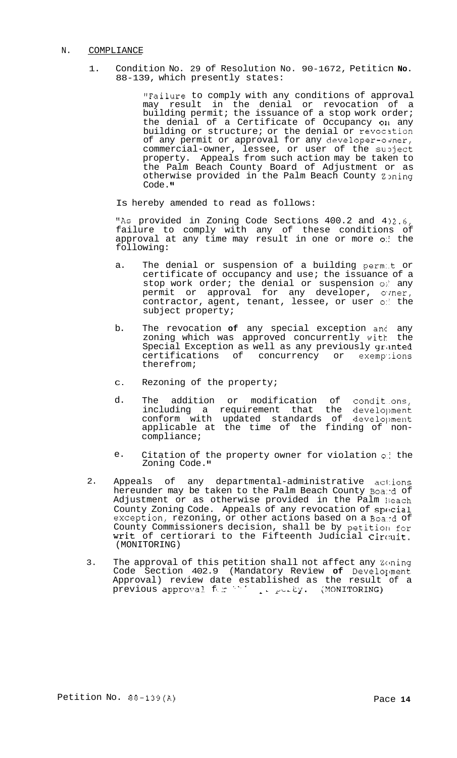### N. COMPLIANCE

1. Condition No. 29 of Resolution No. 90-1672, Petiticn **No.**  88-139, which presently states:

> "Failure to comply with any conditions of approval may result in the denial or revocation of a building permit; the issuance of a stop work order; the denial of a Certificate of Occupancy 011 any building or structure; or the denial or revocation of any permit or approval for any developer-omer, commercial-owner, lessee, or user of the subject property. Appeals from such action may be taken to the Palm Beach County Board of Adjustment or as otherwise provided in the Palm Beach County Zpning Code."

Is hereby amended to read as follows:

"As provided in Zoning Code Sections  $400.2$  and  $402.6$ failure to comply with any of these conditions of approval at any time may result in one or more *0::* the following:

- a. The denial or suspension of a building permit or certificate of occupancy and use; the issuance of a stop work order; the denial or suspension of any permit or approval for any developer, ovner, contractor, agent, tenant, lessee, or user *0::* the subject property;
- b. The revocation **of** any special exception anc any zoning which was approved concurrently with the Special Exception as well as any previously granted certifications of concurrency or exemptions therefrom;
- C. Rezoning of the property;
- d. The addition or modification of condit..ons, including a requirement that the development conform with updated standards of development applicable at the time of the finding of non- compliance;
- e. Citation of the property owner for violation  $\circ$  the Zoning Code.
- $2.$ Appeals of any departmental-administrative ac1:ions hereunder may be taken to the Palm Beach County Boand of Adjustment or as otherwise provided in the Palm Beach County Zoning Code. Appeals of any revocation of special exception, rezoning, or other actions based on a Board of County Commissioners decision, shall be by petition for writ of certiorari to the Fifteenth Judicial Circuit. (MONITORING)
- 3. The approval of this petition shall not affect any Zoning Code Section 402.9 (Mandatory Review **of** Develoylment Approval) review date established as the result of a<br>previous approval for the purity. (MONITORING)